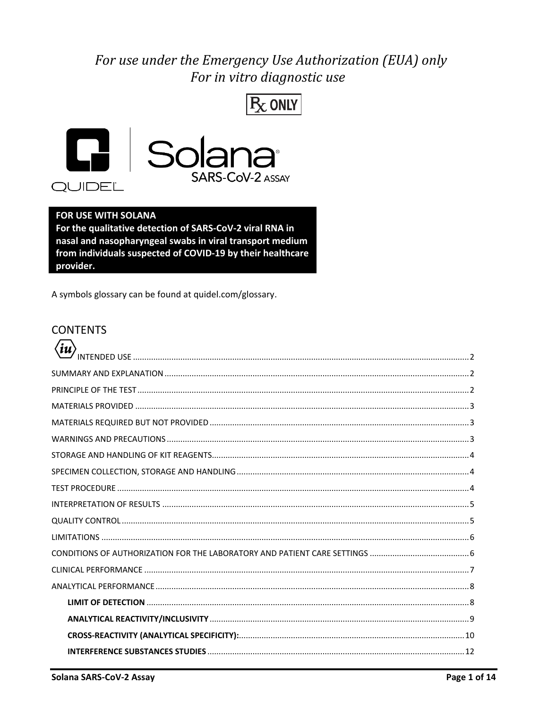## For use under the Emergency Use Authorization (EUA) only For in vitro diagnostic use





#### FOR USE WITH SOLANA

For the qualitative detection of SARS-CoV-2 viral RNA in nasal and nasopharyngeal swabs in viral transport medium from individuals suspected of COVID-19 by their healthcare provider.

A symbols glossary can be found at quidel.com/glossary.

#### **CONTENTS**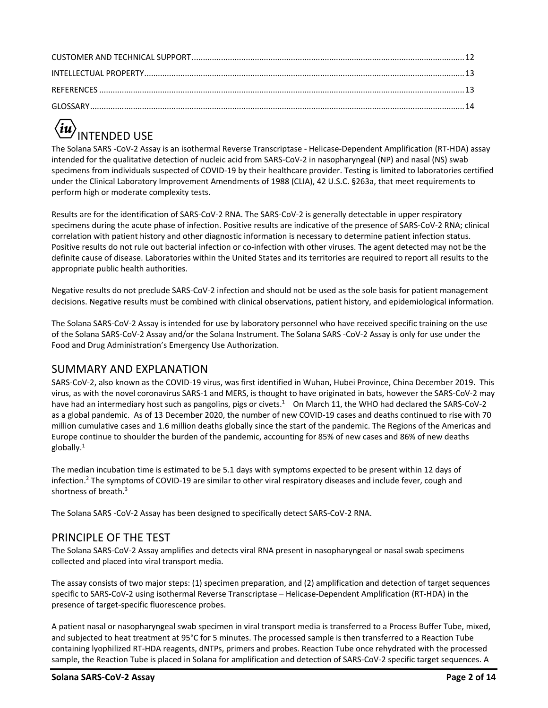# <span id="page-1-0"></span>**NTENDED USE**

The Solana SARS -CoV-2 Assay is an isothermal Reverse Transcriptase - Helicase-Dependent Amplification (RT-HDA) assay intended for the qualitative detection of nucleic acid from SARS-CoV-2 in nasopharyngeal (NP) and nasal (NS) swab specimens from individuals suspected of COVID-19 by their healthcare provider. Testing is limited to laboratories certified under the Clinical Laboratory Improvement Amendments of 1988 (CLIA), 42 U.S.C. §263a, that meet requirements to perform high or moderate complexity tests.

Results are for the identification of SARS-CoV-2 RNA. The SARS-CoV-2 is generally detectable in upper respiratory specimens during the acute phase of infection. Positive results are indicative of the presence of SARS-CoV-2 RNA; clinical correlation with patient history and other diagnostic information is necessary to determine patient infection status. Positive results do not rule out bacterial infection or co-infection with other viruses. The agent detected may not be the definite cause of disease. Laboratories within the United States and its territories are required to report all results to the appropriate public health authorities.

Negative results do not preclude SARS-CoV-2 infection and should not be used as the sole basis for patient management decisions. Negative results must be combined with clinical observations, patient history, and epidemiological information.

The Solana SARS-CoV-2 Assay is intended for use by laboratory personnel who have received specific training on the use of the Solana SARS-CoV-2 Assay and/or the Solana Instrument. The Solana SARS -CoV-2 Assay is only for use under the Food and Drug Administration's Emergency Use Authorization.

## <span id="page-1-1"></span>SUMMARY AND EXPLANATION

SARS-CoV-2, also known as the COVID-19 virus, was first identified in Wuhan, Hubei Province, China December 2019. This virus, as with the novel coronavirus SARS-1 and MERS, is thought to have originated in bats, however the SARS-CoV-2 may have had an intermediary host such as pangolins, pigs or civets.<sup>1</sup> On March 11, the WHO had declared the SARS-CoV-2 as a global pandemic. As of 13 December 2020, the number of new COVID-19 cases and deaths continued to rise with 70 million cumulative cases and 1.6 million deaths globally since the start of the pandemic. The Regions of the Americas and Europe continue to shoulder the burden of the pandemic, accounting for 85% of new cases and 86% of new deaths globally. 1

The median incubation time is estimated to be 5.1 days with symptoms expected to be present within 12 days of infection.<sup>2</sup> The symptoms of COVID-19 are similar to other viral respiratory diseases and include fever, cough and shortness of breath.<sup>3</sup>

The Solana SARS -CoV-2 Assay has been designed to specifically detect SARS-CoV-2 RNA.

## <span id="page-1-2"></span>PRINCIPLE OF THE TEST

The Solana SARS-CoV-2 Assay amplifies and detects viral RNA present in nasopharyngeal or nasal swab specimens collected and placed into viral transport media.

The assay consists of two major steps: (1) specimen preparation, and (2) amplification and detection of target sequences specific to SARS-CoV-2 using isothermal Reverse Transcriptase – Helicase-Dependent Amplification (RT-HDA) in the presence of target-specific fluorescence probes.

A patient nasal or nasopharyngeal swab specimen in viral transport media is transferred to a Process Buffer Tube, mixed, and subjected to heat treatment at 95°C for 5 minutes. The processed sample is then transferred to a Reaction Tube containing lyophilized RT-HDA reagents, dNTPs, primers and probes. Reaction Tube once rehydrated with the processed sample, the Reaction Tube is placed in Solana for amplification and detection of SARS-CoV-2 specific target sequences. A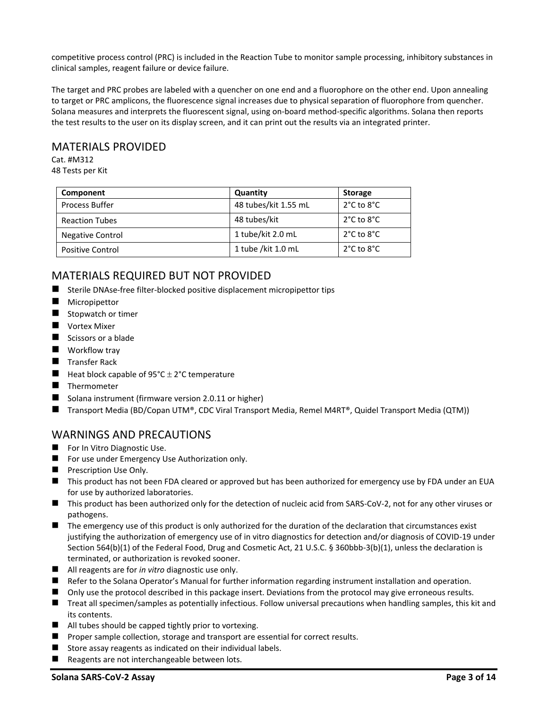competitive process control (PRC) is included in the Reaction Tube to monitor sample processing, inhibitory substances in clinical samples, reagent failure or device failure.

The target and PRC probes are labeled with a quencher on one end and a fluorophore on the other end. Upon annealing to target or PRC amplicons, the fluorescence signal increases due to physical separation of fluorophore from quencher. Solana measures and interprets the fluorescent signal, using on-board method-specific algorithms. Solana then reports the test results to the user on its display screen, and it can print out the results via an integrated printer.

#### <span id="page-2-0"></span>MATERIALS PROVIDED

Cat. #M312 48 Tests per Kit

| Component               | Quantity             | <b>Storage</b>                 |
|-------------------------|----------------------|--------------------------------|
| <b>Process Buffer</b>   | 48 tubes/kit 1.55 mL | $2^{\circ}$ C to $8^{\circ}$ C |
| <b>Reaction Tubes</b>   | 48 tubes/kit         | $2^{\circ}$ C to $8^{\circ}$ C |
| Negative Control        | 1 tube/kit 2.0 mL    | $2^{\circ}$ C to $8^{\circ}$ C |
| <b>Positive Control</b> | 1 tube /kit 1.0 mL   | $2^{\circ}$ C to $8^{\circ}$ C |

#### <span id="page-2-1"></span>MATERIALS REQUIRED BUT NOT PROVIDED

- Sterile DNAse-free filter-blocked positive displacement micropipettor tips
- Micropipettor
- Stopwatch or timer
- Vortex Mixer
- Scissors or a blade
- Workflow tray
- Transfer Rack
- $\blacksquare$  Heat block capable of 95°C  $\pm$  2°C temperature
- Thermometer
- Solana instrument (firmware version 2.0.11 or higher)
- Transport Media (BD/Copan UTM®, CDC Viral Transport Media, Remel M4RT®, Quidel Transport Media (QTM))

## <span id="page-2-2"></span>WARNINGS AND PRECAUTIONS

- For In Vitro Diagnostic Use.
- For use under Emergency Use Authorization only.
- Prescription Use Only.
- This product has not been FDA cleared or approved but has been authorized for emergency use by FDA under an EUA for use by authorized laboratories.
- This product has been authorized only for the detection of nucleic acid from SARS-CoV-2, not for any other viruses or pathogens.
- The emergency use of this product is only authorized for the duration of the declaration that circumstances exist justifying the authorization of emergency use of in vitro diagnostics for detection and/or diagnosis of COVID-19 under Section 564(b)(1) of the Federal Food, Drug and Cosmetic Act, 21 U.S.C. § 360bbb-3(b)(1), unless the declaration is terminated, or authorization is revoked sooner.
- All reagents are for *in vitro* diagnostic use only.
- Refer to the Solana Operator's Manual for further information regarding instrument installation and operation.
- Only use the protocol described in this package insert. Deviations from the protocol may give erroneous results.
- Treat all specimen/samples as potentially infectious. Follow universal precautions when handling samples, this kit and its contents.
- All tubes should be capped tightly prior to vortexing.
- Proper sample collection, storage and transport are essential for correct results.
- Store assay reagents as indicated on their individual labels.
- Reagents are not interchangeable between lots.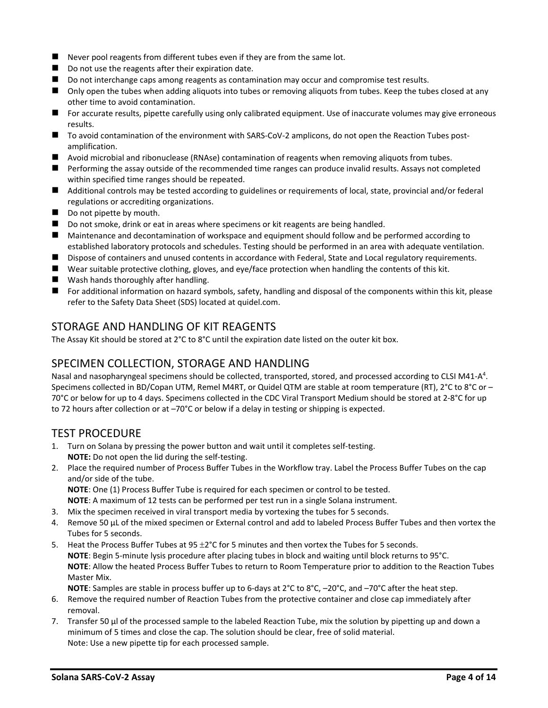- Never pool reagents from different tubes even if they are from the same lot.
- Do not use the reagents after their expiration date.
- Do not interchange caps among reagents as contamination may occur and compromise test results.
- Only open the tubes when adding aliquots into tubes or removing aliquots from tubes. Keep the tubes closed at any other time to avoid contamination.
- For accurate results, pipette carefully using only calibrated equipment. Use of inaccurate volumes may give erroneous results.
- To avoid contamination of the environment with SARS-CoV-2 amplicons, do not open the Reaction Tubes postamplification.
- Avoid microbial and ribonuclease (RNAse) contamination of reagents when removing aliquots from tubes.
- Performing the assay outside of the recommended time ranges can produce invalid results. Assays not completed within specified time ranges should be repeated.
- Additional controls may be tested according to guidelines or requirements of local, state, provincial and/or federal regulations or accrediting organizations.
- Do not pipette by mouth.
- Do not smoke, drink or eat in areas where specimens or kit reagents are being handled.
- Maintenance and decontamination of workspace and equipment should follow and be performed according to established laboratory protocols and schedules. Testing should be performed in an area with adequate ventilation.
- Dispose of containers and unused contents in accordance with Federal, State and Local regulatory requirements.
- Wear suitable protective clothing, gloves, and eye/face protection when handling the contents of this kit.
- Wash hands thoroughly after handling.
- For additional information on hazard symbols, safety, handling and disposal of the components within this kit, please refer to the Safety Data Sheet (SDS) located at quidel.com.

#### <span id="page-3-0"></span>STORAGE AND HANDLING OF KIT REAGENTS

The Assay Kit should be stored at 2°C to 8°C until the expiration date listed on the outer kit box.

#### <span id="page-3-1"></span>SPECIMEN COLLECTION, STORAGE AND HANDLING

Nasal and nasopharyngeal specimens should be collected, transported, stored, and processed according to CLSI M41-A<sup>4</sup>. Specimens collected in BD/Copan UTM, Remel M4RT, or Quidel QTM are stable at room temperature (RT), 2°C to 8°C or – 70°C or below for up to 4 days. Specimens collected in the CDC Viral Transport Medium should be stored at 2-8°C for up to 72 hours after collection or at –70°C or below if a delay in testing or shipping is expected.

## <span id="page-3-2"></span>TEST PROCEDURE

- 1. Turn on Solana by pressing the power button and wait until it completes self-testing. **NOTE:** Do not open the lid during the self-testing.
- 2. Place the required number of Process Buffer Tubes in the Workflow tray. Label the Process Buffer Tubes on the cap and/or side of the tube.

**NOTE**: One (1) Process Buffer Tube is required for each specimen or control to be tested.

- **NOTE**: A maximum of 12 tests can be performed per test run in a single Solana instrument.
- 3. Mix the specimen received in viral transport media by vortexing the tubes for 5 seconds.
- 4. Remove 50 µL of the mixed specimen or External control and add to labeled Process Buffer Tubes and then vortex the Tubes for 5 seconds.
- 5. Heat the Process Buffer Tubes at  $95 \pm 2^{\circ}$ C for 5 minutes and then vortex the Tubes for 5 seconds. **NOTE**: Begin 5-minute lysis procedure after placing tubes in block and waiting until block returns to 95°C. **NOTE**: Allow the heated Process Buffer Tubes to return to Room Temperature prior to addition to the Reaction Tubes Master Mix.

**NOTE**: Samples are stable in process buffer up to 6-days at 2°C to 8°C, –20°C, and –70°C after the heat step.

- 6. Remove the required number of Reaction Tubes from the protective container and close cap immediately after removal.
- 7. Transfer 50 µl of the processed sample to the labeled Reaction Tube, mix the solution by pipetting up and down a minimum of 5 times and close the cap. The solution should be clear, free of solid material. Note: Use a new pipette tip for each processed sample.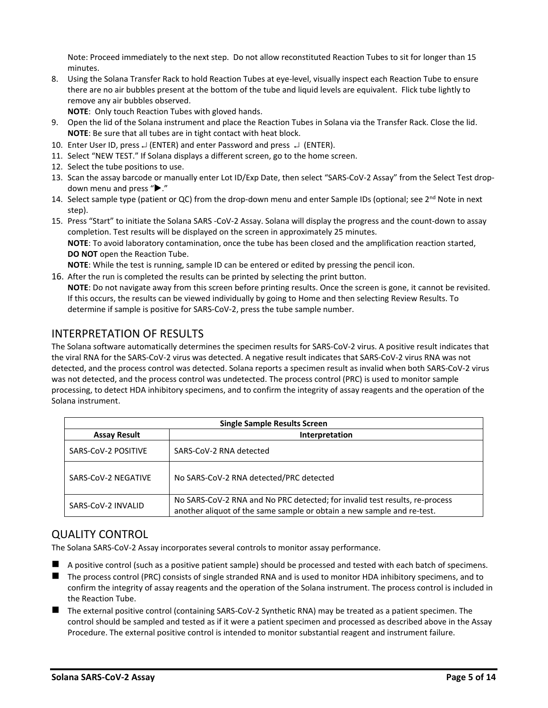Note: Proceed immediately to the next step. Do not allow reconstituted Reaction Tubes to sit for longer than 15 minutes.

8. Using the Solana Transfer Rack to hold Reaction Tubes at eye-level, visually inspect each Reaction Tube to ensure there are no air bubbles present at the bottom of the tube and liquid levels are equivalent. Flick tube lightly to remove any air bubbles observed.

**NOTE**: Only touch Reaction Tubes with gloved hands.

- 9. Open the lid of the Solana instrument and place the Reaction Tubes in Solana via the Transfer Rack. Close the lid. **NOTE**: Be sure that all tubes are in tight contact with heat block.
- 10. Enter User ID, press  $\downarrow$  (ENTER) and enter Password and press  $\downarrow$  (ENTER).
- 11. Select "NEW TEST." If Solana displays a different screen, go to the home screen.
- 12. Select the tube positions to use.
- 13. Scan the assay barcode or manually enter Lot ID/Exp Date, then select "SARS-CoV-2 Assay" from the Select Test dropdown menu and press " $\blacktriangleright$ ."
- 14. Select sample type (patient or QC) from the drop-down menu and enter Sample IDs (optional; see 2<sup>nd</sup> Note in next step).
- 15. Press "Start" to initiate the Solana SARS -CoV-2 Assay. Solana will display the progress and the count-down to assay completion. Test results will be displayed on the screen in approximately 25 minutes. **NOTE**: To avoid laboratory contamination, once the tube has been closed and the amplification reaction started, **DO NOT** open the Reaction Tube. **NOTE**: While the test is running, sample ID can be entered or edited by pressing the pencil icon.

16. After the run is completed the results can be printed by selecting the print button.

**NOTE**: Do not navigate away from this screen before printing results. Once the screen is gone, it cannot be revisited. If this occurs, the results can be viewed individually by going to Home and then selecting Review Results. To determine if sample is positive for SARS-CoV-2, press the tube sample number.

## <span id="page-4-0"></span>INTERPRETATION OF RESULTS

The Solana software automatically determines the specimen results for SARS-CoV-2 virus. A positive result indicates that the viral RNA for the SARS-CoV-2 virus was detected. A negative result indicates that SARS-CoV-2 virus RNA was not detected, and the process control was detected. Solana reports a specimen result as invalid when both SARS-CoV-2 virus was not detected, and the process control was undetected. The process control (PRC) is used to monitor sample processing, to detect HDA inhibitory specimens, and to confirm the integrity of assay reagents and the operation of the Solana instrument.

| <b>Single Sample Results Screen</b>   |                                                                                                                                                       |  |  |  |  |  |  |
|---------------------------------------|-------------------------------------------------------------------------------------------------------------------------------------------------------|--|--|--|--|--|--|
| <b>Assay Result</b><br>Interpretation |                                                                                                                                                       |  |  |  |  |  |  |
| SARS-CoV-2 POSITIVE                   | SARS-CoV-2 RNA detected                                                                                                                               |  |  |  |  |  |  |
| SARS-CoV-2 NEGATIVE                   | No SARS-CoV-2 RNA detected/PRC detected                                                                                                               |  |  |  |  |  |  |
| SARS-CoV-2 INVALID                    | No SARS-CoV-2 RNA and No PRC detected; for invalid test results, re-process<br>another aliquot of the same sample or obtain a new sample and re-test. |  |  |  |  |  |  |

## <span id="page-4-1"></span>QUALITY CONTROL

The Solana SARS-CoV-2 Assay incorporates several controls to monitor assay performance.

- A positive control (such as a positive patient sample) should be processed and tested with each batch of specimens.
- The process control (PRC) consists of single stranded RNA and is used to monitor HDA inhibitory specimens, and to confirm the integrity of assay reagents and the operation of the Solana instrument. The process control is included in the Reaction Tube.
- The external positive control (containing SARS-CoV-2 Synthetic RNA) may be treated as a patient specimen. The control should be sampled and tested as if it were a patient specimen and processed as described above in the Assay Procedure. The external positive control is intended to monitor substantial reagent and instrument failure.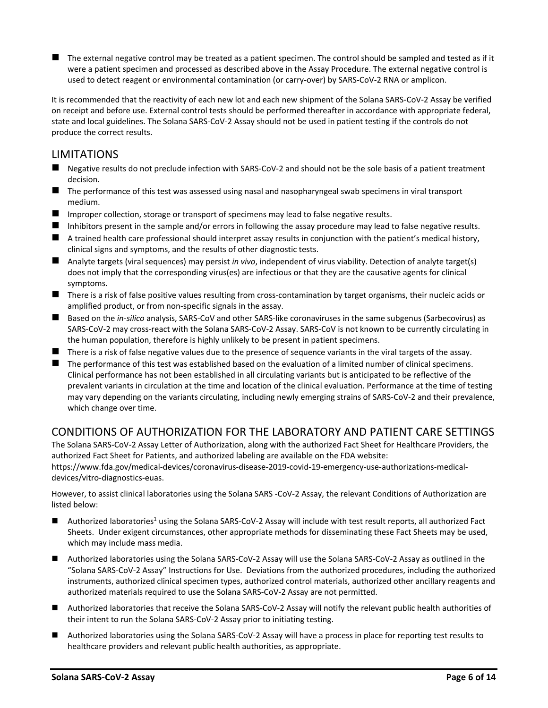■ The external negative control may be treated as a patient specimen. The control should be sampled and tested as if it were a patient specimen and processed as described above in the Assay Procedure. The external negative control is used to detect reagent or environmental contamination (or carry-over) by SARS-CoV-2 RNA or amplicon.

It is recommended that the reactivity of each new lot and each new shipment of the Solana SARS-CoV-2 Assay be verified on receipt and before use. External control tests should be performed thereafter in accordance with appropriate federal, state and local guidelines. The Solana SARS-CoV-2 Assay should not be used in patient testing if the controls do not produce the correct results.

## <span id="page-5-0"></span>**LIMITATIONS**

- Negative results do not preclude infection with SARS-CoV-2 and should not be the sole basis of a patient treatment decision.
- The performance of this test was assessed using nasal and nasopharyngeal swab specimens in viral transport medium.
- Improper collection, storage or transport of specimens may lead to false negative results.
- Inhibitors present in the sample and/or errors in following the assay procedure may lead to false negative results.
- $\blacksquare$  A trained health care professional should interpret assay results in conjunction with the patient's medical history, clinical signs and symptoms, and the results of other diagnostic tests.
- Analyte targets (viral sequences) may persist *in vivo*, independent of virus viability. Detection of analyte target(s) does not imply that the corresponding virus(es) are infectious or that they are the causative agents for clinical symptoms.
- There is a risk of false positive values resulting from cross-contamination by target organisms, their nucleic acids or amplified product, or from non-specific signals in the assay.
- Based on the *in-silico* analysis, SARS-CoV and other SARS-like coronaviruses in the same subgenus (Sarbecovirus) as SARS-CoV-2 may cross-react with the Solana SARS-CoV-2 Assay. SARS-CoV is not known to be currently circulating in the human population, therefore is highly unlikely to be present in patient specimens.
- There is a risk of false negative values due to the presence of sequence variants in the viral targets of the assay.
- The performance of this test was established based on the evaluation of a limited number of clinical specimens. Clinical performance has not been established in all circulating variants but is anticipated to be reflective of the prevalent variants in circulation at the time and location of the clinical evaluation. Performance at the time of testing may vary depending on the variants circulating, including newly emerging strains of SARS-CoV-2 and their prevalence, which change over time.

## <span id="page-5-1"></span>CONDITIONS OF AUTHORIZATION FOR THE LABORATORY AND PATIENT CARE SETTINGS

The Solana SARS-CoV-2 Assay Letter of Authorization, along with the authorized Fact Sheet for Healthcare Providers, the authorized Fact Sheet for Patients, and authorized labeling are available on the FDA website: https://www.fda.gov/medical-devices/coronavirus-disease-2019-covid-19-emergency-use-authorizations-medicaldevices/vitro-diagnostics-euas.

However, to assist clinical laboratories using the Solana SARS -CoV-2 Assay, the relevant Conditions of Authorization are listed below:

- $\blacksquare$  Authorized laboratories<sup>1</sup> using the Solana SARS-CoV-2 Assay will include with test result reports, all authorized Fact Sheets. Under exigent circumstances, other appropriate methods for disseminating these Fact Sheets may be used, which may include mass media.
- Authorized laboratories using the Solana SARS-CoV-2 Assay will use the Solana SARS-CoV-2 Assay as outlined in the "Solana SARS-CoV-2 Assay" Instructions for Use. Deviations from the authorized procedures, including the authorized instruments, authorized clinical specimen types, authorized control materials, authorized other ancillary reagents and authorized materials required to use the Solana SARS-CoV-2 Assay are not permitted.
- Authorized laboratories that receive the Solana SARS-CoV-2 Assay will notify the relevant public health authorities of their intent to run the Solana SARS-CoV-2 Assay prior to initiating testing.
- Authorized laboratories using the Solana SARS-CoV-2 Assay will have a process in place for reporting test results to healthcare providers and relevant public health authorities, as appropriate.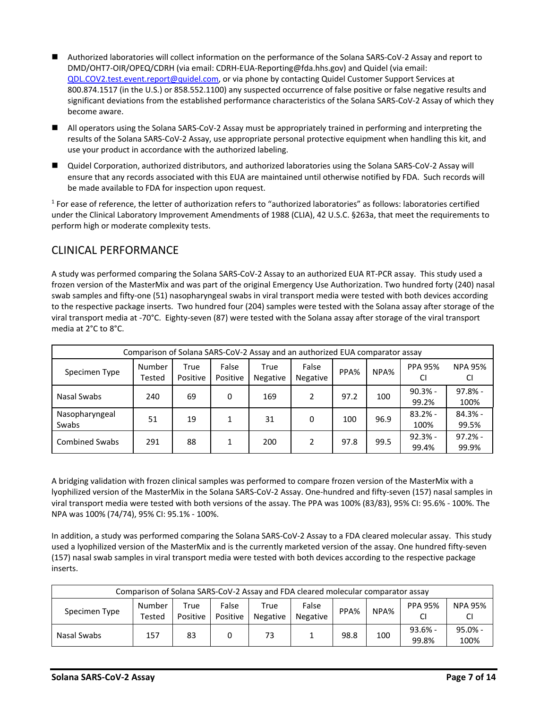- Authorized laboratories will collect information on the performance of the Solana SARS-CoV-2 Assay and report to DMD/OHT7-OIR/OPEQ/CDRH (via email: CDRH-EUA-Reporting@fda.hhs.gov) and Quidel (via email: [QDL.COV2.test.event.report@quidel.com,](mailto:QDL.COV2.test.event.report@quidel.com) or via phone by contacting Quidel Customer Support Services at 800.874.1517 (in the U.S.) or 858.552.1100) any suspected occurrence of false positive or false negative results and significant deviations from the established performance characteristics of the Solana SARS-CoV-2 Assay of which they become aware.
- All operators using the Solana SARS-CoV-2 Assay must be appropriately trained in performing and interpreting the results of the Solana SARS-CoV-2 Assay, use appropriate personal protective equipment when handling this kit, and use your product in accordance with the authorized labeling.
- Quidel Corporation, authorized distributors, and authorized laboratories using the Solana SARS-CoV-2 Assay will ensure that any records associated with this EUA are maintained until otherwise notified by FDA. Such records will be made available to FDA for inspection upon request.

<sup>1</sup> For ease of reference, the letter of authorization refers to "authorized laboratories" as follows: laboratories certified under the Clinical Laboratory Improvement Amendments of 1988 (CLIA), 42 U.S.C. §263a, that meet the requirements to perform high or moderate complexity tests.

## <span id="page-6-0"></span>CLINICAL PERFORMANCE

A study was performed comparing the Solana SARS-CoV-2 Assay to an authorized EUA RT-PCR assay. This study used a frozen version of the MasterMix and was part of the original Emergency Use Authorization. Two hundred forty (240) nasal swab samples and fifty-one (51) nasopharyngeal swabs in viral transport media were tested with both devices according to the respective package inserts. Two hundred four (204) samples were tested with the Solana assay after storage of the viral transport media at -70°C. Eighty-seven (87) were tested with the Solana assay after storage of the viral transport media at 2°C to 8°C.

| Comparison of Solana SARS-CoV-2 Assay and an authorized EUA comparator assay |                  |                  |                   |                         |                          |      |      |                      |                      |  |
|------------------------------------------------------------------------------|------------------|------------------|-------------------|-------------------------|--------------------------|------|------|----------------------|----------------------|--|
| Specimen Type                                                                | Number<br>Tested | True<br>Positive | False<br>Positive | True<br><b>Negative</b> | False<br><b>Negative</b> | PPA% | NPA% | <b>PPA 95%</b><br>CI | <b>NPA 95%</b><br>CI |  |
| Nasal Swabs                                                                  | 240              | 69               | 0                 | 169                     |                          | 97.2 | 100  | $90.3% -$<br>99.2%   | 97.8% -<br>100%      |  |
| Nasopharyngeal<br>Swabs                                                      | 51               | 19               |                   | 31                      | 0                        | 100  | 96.9 | $83.2% -$<br>100%    | $84.3% -$<br>99.5%   |  |
| <b>Combined Swabs</b>                                                        | 291              | 88               |                   | 200                     |                          | 97.8 | 99.5 | $92.3% -$<br>99.4%   | $97.2% -$<br>99.9%   |  |

A bridging validation with frozen clinical samples was performed to compare frozen version of the MasterMix with a lyophilized version of the MasterMix in the Solana SARS-CoV-2 Assay. One-hundred and fifty-seven (157) nasal samples in viral transport media were tested with both versions of the assay. The PPA was 100% (83/83), 95% CI: 95.6% - 100%. The NPA was 100% (74/74), 95% CI: 95.1% - 100%.

In addition, a study was performed comparing the Solana SARS-CoV-2 Assay to a FDA cleared molecular assay. This study used a lyophilized version of the MasterMix and is the currently marketed version of the assay. One hundred fifty-seven (157) nasal swab samples in viral transport media were tested with both devices according to the respective package inserts.

| Comparison of Solana SARS-CoV-2 Assay and FDA cleared molecular comparator assay |                  |                  |                   |                         |                          |      |      |                    |                   |  |  |
|----------------------------------------------------------------------------------|------------------|------------------|-------------------|-------------------------|--------------------------|------|------|--------------------|-------------------|--|--|
| Specimen Type                                                                    | Number<br>Tested | True<br>Positive | False<br>Positive | True<br><b>Negative</b> | False<br><b>Negative</b> | PPA% | NPA% | <b>PPA 95%</b>     | <b>NPA 95%</b>    |  |  |
| Nasal Swabs                                                                      | 157              | 83               | 0                 | 73                      |                          | 98.8 | 100  | $93.6% -$<br>99.8% | $95.0% -$<br>100% |  |  |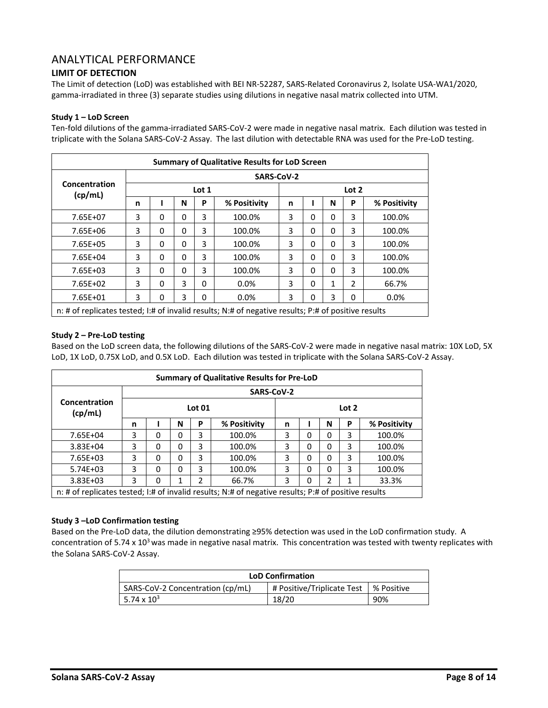#### <span id="page-7-0"></span>ANALYTICAL PERFORMANCE

#### <span id="page-7-1"></span>**LIMIT OF DETECTION**

The Limit of detection (LoD) was established with BEI NR-52287, SARS-Related Coronavirus 2, Isolate USA-WA1/2020, gamma-irradiated in three (3) separate studies using dilutions in negative nasal matrix collected into UTM.

#### **Study 1 – LoD Screen**

Ten-fold dilutions of the gamma-irradiated SARS-CoV-2 were made in negative nasal matrix. Each dilution was tested in triplicate with the Solana SARS-CoV-2 Assay. The last dilution with detectable RNA was used for the Pre-LoD testing.

| <b>Summary of Qualitative Results for LoD Screen</b>                                                |   |   |   |       |              |   |   |   |                |              |
|-----------------------------------------------------------------------------------------------------|---|---|---|-------|--------------|---|---|---|----------------|--------------|
| <b>SARS-CoV-2</b>                                                                                   |   |   |   |       |              |   |   |   |                |              |
| Concentration<br>(cp/mL)                                                                            |   |   |   | Lot 1 |              |   |   |   | Lot 2          |              |
|                                                                                                     | n |   | N | P     | % Positivity | n |   | N | P              | % Positivity |
| 7.65E+07                                                                                            | 3 | 0 | 0 | 3     | 100.0%       | 3 | 0 | 0 | 3              | 100.0%       |
| 7.65E+06                                                                                            | 3 | 0 | 0 | 3     | 100.0%       | 3 | 0 | 0 | 3              | 100.0%       |
| 7.65E+05                                                                                            | 3 | 0 | 0 | 3     | 100.0%       | 3 | 0 | 0 | 3              | 100.0%       |
| 7.65E+04                                                                                            | 3 | 0 | 0 | 3     | 100.0%       | 3 | 0 | 0 | 3              | 100.0%       |
| 7.65E+03                                                                                            | 3 | 0 | 0 | 3     | 100.0%       | 3 | 0 | 0 | 3              | 100.0%       |
| $7.65E + 02$                                                                                        | 3 | 0 | 3 | 0     | $0.0\%$      | 3 | 0 | 1 | $\mathfrak{p}$ | 66.7%        |
| 3<br>3<br>3<br>3<br>7.65E+01<br>0<br>0.0%<br>0.0%<br>0<br>0<br>0                                    |   |   |   |       |              |   |   |   |                |              |
| n: # of replicates tested; I:# of invalid results; N:# of negative results; P:# of positive results |   |   |   |       |              |   |   |   |                |              |

#### **Study 2 – Pre-LoD testing**

Based on the LoD screen data, the following dilutions of the SARS-CoV-2 were made in negative nasal matrix: 10X LoD, 5X LoD, 1X LoD, 0.75X LoD, and 0.5X LoD. Each dilution was tested in triplicate with the Solana SARS-CoV-2 Assay.

| <b>Summary of Qualitative Results for Pre-LoD</b>                                                   |   |               |   |   |        |   |              |       |   |        |  |
|-----------------------------------------------------------------------------------------------------|---|---------------|---|---|--------|---|--------------|-------|---|--------|--|
| SARS-CoV-2                                                                                          |   |               |   |   |        |   |              |       |   |        |  |
| Concentration<br>(cp/mL)                                                                            |   | <b>Lot 01</b> |   |   |        |   |              | Lot 2 |   |        |  |
| N<br>P<br>n                                                                                         |   | % Positivity  | n |   | N      | P | % Positivity |       |   |        |  |
| 7.65E+04                                                                                            | 3 | 0             | 0 | 3 | 100.0% | 3 | $\Omega$     | 0     | 3 | 100.0% |  |
| $3.83E + 04$                                                                                        | 3 | 0             | 0 | 3 | 100.0% | 3 | $\Omega$     | 0     | 3 | 100.0% |  |
| $7.65E + 03$                                                                                        | 3 | 0             | 0 | 3 | 100.0% | 3 | 0            | 0     | 3 | 100.0% |  |
| $5.74E + 03$                                                                                        | 3 | 0             | 0 | 3 | 100.0% | 3 | 0            | 0     | 3 | 100.0% |  |
| $3.83E + 03$<br>2<br>3<br>2<br>33.3%<br>3<br>66.7%<br>0<br>0<br>1<br>1                              |   |               |   |   |        |   |              |       |   |        |  |
| n: # of replicates tested; I:# of invalid results; N:# of negative results; P:# of positive results |   |               |   |   |        |   |              |       |   |        |  |

#### **Study 3 –LoD Confirmation testing**

Based on the Pre-LoD data, the dilution demonstrating ≥95% detection was used in the LoD confirmation study. A concentration of 5.74 x 10<sup>3</sup> was made in negative nasal matrix. This concentration was tested with twenty replicates with the Solana SARS-CoV-2 Assay.

| <b>LoD Confirmation</b>          |                                         |     |  |  |  |  |  |  |
|----------------------------------|-----------------------------------------|-----|--|--|--|--|--|--|
| SARS-CoV-2 Concentration (cp/mL) | # Positive/Triplicate Test   % Positive |     |  |  |  |  |  |  |
| 5.74 x $10^3$                    | 18/20                                   | 90% |  |  |  |  |  |  |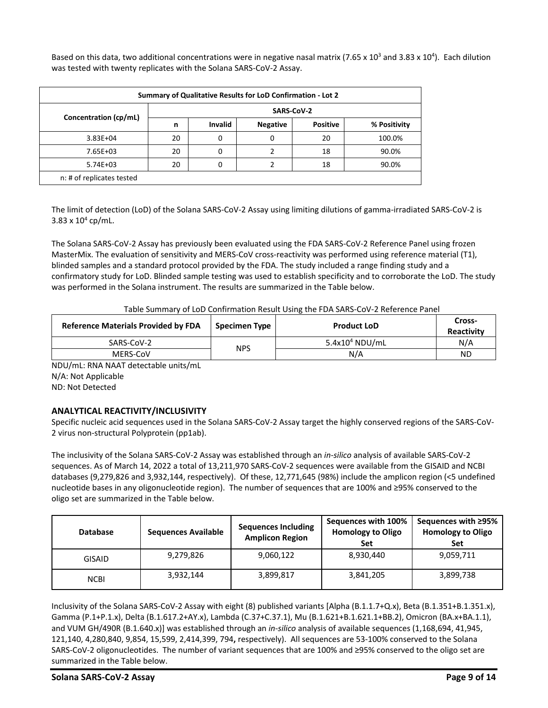Based on this data, two additional concentrations were in negative nasal matrix (7.65 x 10<sup>3</sup> and 3.83 x 10<sup>4</sup>). Each dilution was tested with twenty replicates with the Solana SARS-CoV-2 Assay.

| Summary of Qualitative Results for LoD Confirmation - Lot 2 |            |                |                 |                 |              |  |  |  |  |  |
|-------------------------------------------------------------|------------|----------------|-----------------|-----------------|--------------|--|--|--|--|--|
| Concentration (cp/mL)                                       | SARS-CoV-2 |                |                 |                 |              |  |  |  |  |  |
|                                                             | n          | <b>Invalid</b> | <b>Negative</b> | <b>Positive</b> | % Positivity |  |  |  |  |  |
| $3.83E + 04$                                                | 20         | 0              | 0               | 20              | 100.0%       |  |  |  |  |  |
| 7.65E+03                                                    | 20         | 0              |                 | 18              | 90.0%        |  |  |  |  |  |
| $5.74E + 03$                                                | 20         | 0              |                 | 18              | 90.0%        |  |  |  |  |  |
| n: # of replicates tested                                   |            |                |                 |                 |              |  |  |  |  |  |

The limit of detection (LoD) of the Solana SARS-CoV-2 Assay using limiting dilutions of gamma-irradiated SARS-CoV-2 is  $3.83 \times 10^4$  cp/mL.

The Solana SARS-CoV-2 Assay has previously been evaluated using the FDA SARS-CoV-2 Reference Panel using frozen MasterMix. The evaluation of sensitivity and MERS-CoV cross-reactivity was performed using reference material (T1), blinded samples and a standard protocol provided by the FDA. The study included a range finding study and a confirmatory study for LoD. Blinded sample testing was used to establish specificity and to corroborate the LoD. The study was performed in the Solana instrument. The results are summarized in the Table below.

Table Summary of LoD Confirmation Result Using the FDA SARS-CoV-2 Reference Panel

| <b>Reference Materials Provided by FDA</b> | Specimen Type | <b>Product LoD</b> | Cross-<br>Reactivity |
|--------------------------------------------|---------------|--------------------|----------------------|
| SARS-CoV-2                                 | <b>NPS</b>    | $5.4x104$ NDU/mL   | N/A                  |
| MERS-CoV                                   |               | N/A                | ΝD                   |

NDU/mL: RNA NAAT detectable units/mL N/A: Not Applicable ND: Not Detected

#### <span id="page-8-0"></span>**ANALYTICAL REACTIVITY/INCLUSIVITY**

Specific nucleic acid sequences used in the Solana SARS-CoV-2 Assay target the highly conserved regions of the SARS-CoV-2 virus non-structural Polyprotein (pp1ab).

The inclusivity of the Solana SARS-CoV-2 Assay was established through an *in-silico* analysis of available SARS-CoV-2 sequences. As of March 14, 2022 a total of 13,211,970 SARS-CoV-2 sequences were available from the GISAID and NCBI databases (9,279,826 and 3,932,144, respectively). Of these, 12,771,645 (98%) include the amplicon region (<5 undefined nucleotide bases in any oligonucleotide region). The number of sequences that are 100% and ≥95% conserved to the oligo set are summarized in the Table below.

| <b>Database</b> | <b>Sequences Available</b> | <b>Sequences Including</b><br><b>Amplicon Region</b> | Sequences with 100%<br><b>Homology to Oligo</b><br>Set | Sequences with ≥95%<br><b>Homology to Oligo</b><br>Set |
|-----------------|----------------------------|------------------------------------------------------|--------------------------------------------------------|--------------------------------------------------------|
| <b>GISAID</b>   | 9,279,826                  | 9,060,122                                            | 8,930,440                                              | 9,059,711                                              |
| <b>NCBI</b>     | 3,932,144                  | 3,899,817                                            | 3,841,205                                              | 3,899,738                                              |

Inclusivity of the Solana SARS-CoV-2 Assay with eight (8) published variants [Alpha (B.1.1.7+Q.x), Beta (B.1.351+B.1.351.x), Gamma (P.1+P.1.x), Delta (B.1.617.2+AY.x), Lambda (C.37+C.37.1), Mu (B.1.621+B.1.621.1+BB.2), Omicron (BA.x+BA.1.1), and VUM GH/490R (B.1.640.x)] was established through an *in-silico* analysis of available sequences (1,168,694, 41,945, 121,140, 4,280,840, 9,854, 15,599, 2,414,399, 794**,** respectively). All sequences are 53-100% conserved to the Solana SARS-CoV-2 oligonucleotides. The number of variant sequences that are 100% and ≥95% conserved to the oligo set are summarized in the Table below.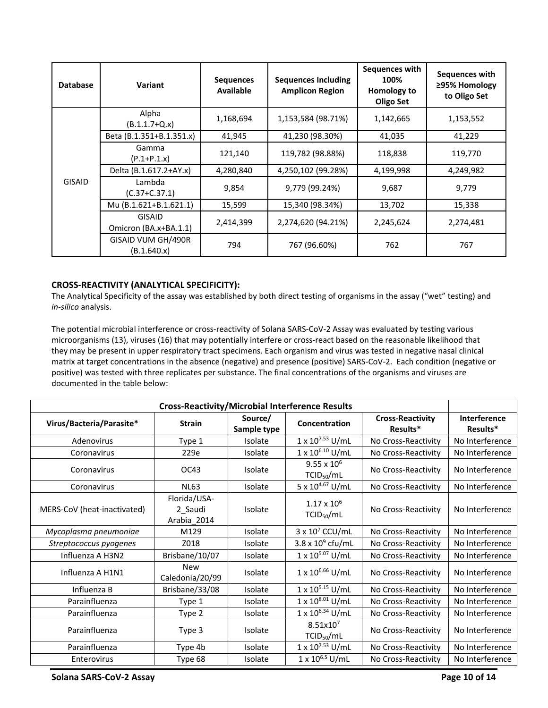| <b>Database</b> | Variant                                | <b>Sequences</b><br><b>Available</b> | <b>Sequences Including</b><br><b>Amplicon Region</b> | Sequences with<br>100%<br>Homology to<br>Oligo Set | Sequences with<br>≥95% Homology<br>to Oligo Set |
|-----------------|----------------------------------------|--------------------------------------|------------------------------------------------------|----------------------------------------------------|-------------------------------------------------|
|                 | Alpha<br>$(B.1.1.7 + Q.x)$             | 1,168,694                            | 1,153,584 (98.71%)                                   | 1,142,665                                          | 1,153,552                                       |
|                 | Beta (B.1.351+B.1.351.x)               | 41,945                               | 41,230 (98.30%)                                      | 41,035                                             | 41,229                                          |
|                 | Gamma<br>$(P.1+P.1.x)$                 | 121,140                              | 119,782 (98.88%)                                     | 118,838                                            | 119,770                                         |
|                 | Delta (B.1.617.2+AY.x)                 | 4,280,840                            | 4,250,102 (99.28%)                                   | 4,199,998                                          | 4,249,982                                       |
| <b>GISAID</b>   | Lambda<br>$(C.37+C.37.1)$              | 9,854                                | 9,779 (99.24%)                                       | 9,687                                              | 9,779                                           |
|                 | Mu (B.1.621+B.1.621.1)                 | 15,599                               | 15,340 (98.34%)                                      | 13,702                                             | 15,338                                          |
|                 | <b>GISAID</b><br>Omicron (BA.x+BA.1.1) | 2,414,399                            | 2,274,620 (94.21%)                                   | 2,245,624                                          | 2,274,481                                       |
|                 | GISAID VUM GH/490R<br>(B.1.640.x)      | 794                                  | 767 (96.60%)                                         | 762                                                | 767                                             |

#### <span id="page-9-0"></span>**CROSS-REACTIVITY (ANALYTICAL SPECIFICITY):**

The Analytical Specificity of the assay was established by both direct testing of organisms in the assay ("wet" testing) and *in-silico* analysis.

The potential microbial interference or cross-reactivity of Solana SARS-CoV-2 Assay was evaluated by testing various microorganisms (13), viruses (16) that may potentially interfere or cross-react based on the reasonable likelihood that they may be present in upper respiratory tract specimens. Each organism and virus was tested in negative nasal clinical matrix at target concentrations in the absence (negative) and presence (positive) SARS-CoV-2. Each condition (negative or positive) was tested with three replicates per substance. The final concentrations of the organisms and viruses are documented in the table below:

| <b>Cross-Reactivity/Microbial Interference Results</b> |                                        |                        |                                                |                                     |                                 |
|--------------------------------------------------------|----------------------------------------|------------------------|------------------------------------------------|-------------------------------------|---------------------------------|
| Virus/Bacteria/Parasite*                               | <b>Strain</b>                          | Source/<br>Sample type | Concentration                                  | <b>Cross-Reactivity</b><br>Results* | <b>Interference</b><br>Results* |
| Adenovirus                                             | Type 1                                 | Isolate                | $1 \times 10^{7.53}$ U/mL                      | No Cross-Reactivity                 | No Interference                 |
| Coronavirus                                            | 229e                                   | Isolate                | 1 x 10 <sup>6.10</sup> U/mL                    | No Cross-Reactivity                 | No Interference                 |
| Coronavirus                                            | OC43                                   | Isolate                | $9.55 \times 10^{6}$<br>TCID <sub>50</sub> /mL | No Cross-Reactivity                 | No Interference                 |
| Coronavirus                                            | <b>NL63</b>                            | Isolate                | 5 x $10^{4.67}$ U/mL                           | No Cross-Reactivity                 | No Interference                 |
| MERS-CoV (heat-inactivated)                            | Florida/USA-<br>2 Saudi<br>Arabia 2014 | Isolate                | $1.17 \times 10^{6}$<br>TCID <sub>50</sub> /mL | No Cross-Reactivity                 | No Interference                 |
| Mycoplasma pneumoniae                                  | M129                                   | Isolate                | $3 \times 10^7$ CCU/mL                         | No Cross-Reactivity                 | No Interference                 |
| Streptococcus pyogenes                                 | Z018                                   | Isolate                | 3.8 x $10^9$ cfu/mL                            | No Cross-Reactivity                 | No Interference                 |
| Influenza A H3N2                                       | Brisbane/10/07                         | Isolate                | $1 \times 10^{5.07}$ U/mL                      | No Cross-Reactivity                 | No Interference                 |
| Influenza A H1N1                                       | <b>New</b><br>Caledonia/20/99          | Isolate                | $1 \times 10^{6.66}$ U/mL                      | No Cross-Reactivity                 | No Interference                 |
| Influenza B                                            | Brisbane/33/08                         | Isolate                | $1 \times 10^{5.15}$ U/mL                      | No Cross-Reactivity                 | No Interference                 |
| Parainfluenza                                          | Type 1                                 | Isolate                | $1 \times 10^{8.01}$ U/mL                      | No Cross-Reactivity                 | No Interference                 |
| Parainfluenza                                          | Type 2                                 | Isolate                | 1 x 10 <sup>6.34</sup> U/mL                    | No Cross-Reactivity                 | No Interference                 |
| Parainfluenza                                          | Type 3                                 | Isolate                | 8.51x10 <sup>7</sup><br>TCID <sub>50</sub> /mL | No Cross-Reactivity                 | No Interference                 |
| Parainfluenza                                          | Type 4b                                | Isolate                | 1 x 107.53 U/mL                                | No Cross-Reactivity                 | No Interference                 |
| Enterovirus                                            | Type 68                                | Isolate                | $1 \times 10^{6.5}$ U/mL                       | No Cross-Reactivity                 | No Interference                 |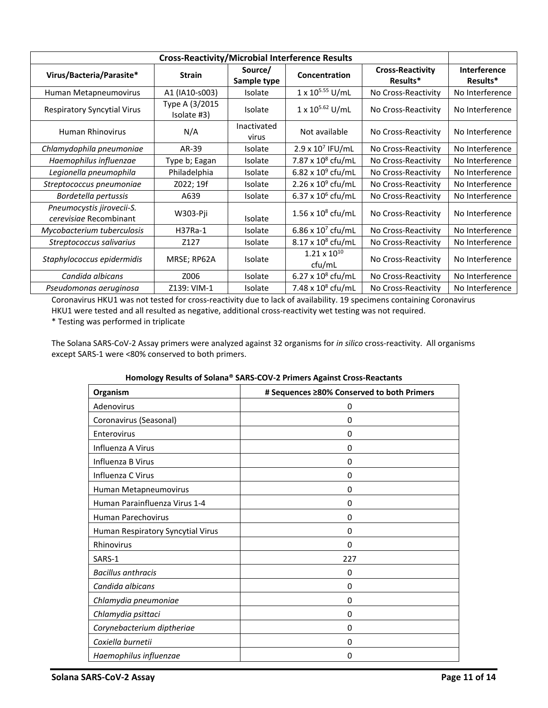| <b>Cross-Reactivity/Microbial Interference Results</b> |                               |                        |                                 |                                     |                                 |
|--------------------------------------------------------|-------------------------------|------------------------|---------------------------------|-------------------------------------|---------------------------------|
| Virus/Bacteria/Parasite*                               | <b>Strain</b>                 | Source/<br>Sample type | Concentration                   | <b>Cross-Reactivity</b><br>Results* | <b>Interference</b><br>Results* |
| Human Metapneumovirus                                  | A1 (IA10-s003)                | <b>Isolate</b>         | 1 x 10 <sup>5.55</sup> U/mL     | No Cross-Reactivity                 | No Interference                 |
| <b>Respiratory Syncytial Virus</b>                     | Type A (3/2015<br>Isolate #3) | Isolate                | $1 \times 10^{5.62}$ U/mL       | No Cross-Reactivity                 | No Interference                 |
| <b>Human Rhinovirus</b>                                | N/A                           | Inactivated<br>virus   | Not available                   | No Cross-Reactivity                 | No Interference                 |
| Chlamydophila pneumoniae                               | AR-39                         | <b>Isolate</b>         | $2.9 \times 10^7$ IFU/mL        | No Cross-Reactivity                 | No Interference                 |
| Haemophilus influenzae                                 | Type b; Eagan                 | Isolate                | 7.87 x 10 <sup>8</sup> cfu/mL   | No Cross-Reactivity                 | No Interference                 |
| Legionella pneumophila                                 | Philadelphia                  | Isolate                | 6.82 x $10^9$ cfu/mL            | No Cross-Reactivity                 | No Interference                 |
| Streptococcus pneumoniae                               | Z022; 19f                     | <b>Isolate</b>         | $2.26 \times 10^9$ cfu/mL       | No Cross-Reactivity                 | No Interference                 |
| Bordetella pertussis                                   | A639                          | Isolate                | 6.37 x $10^6$ cfu/mL            | No Cross-Reactivity                 | No Interference                 |
| Pneumocystis jirovecii-S.<br>cerevisiae Recombinant    | W303-Pji                      | Isolate                | $1.56 \times 10^8$ cfu/mL       | No Cross-Reactivity                 | No Interference                 |
| Mycobacterium tuberculosis                             | H37Ra-1                       | <b>Isolate</b>         | 6.86 x $10^7$ cfu/mL            | No Cross-Reactivity                 | No Interference                 |
| Streptococcus salivarius                               | Z127                          | Isolate                | $8.17 \times 10^8$ cfu/mL       | No Cross-Reactivity                 | No Interference                 |
| Staphylococcus epidermidis                             | MRSE; RP62A                   | <b>Isolate</b>         | $1.21 \times 10^{10}$<br>ctu/mL | No Cross-Reactivity                 | No Interference                 |
| Candida albicans                                       | Z006                          | <b>Isolate</b>         | 6.27 x $10^8$ cfu/mL            | No Cross-Reactivity                 | No Interference                 |
| Pseudomonas aeruginosa                                 | Z139: VIM-1                   | <b>Isolate</b>         | 7.48 x 10 <sup>8</sup> cfu/mL   | No Cross-Reactivity                 | No Interference                 |

Coronavirus HKU1 was not tested for cross-reactivity due to lack of availability. 19 specimens containing Coronavirus HKU1 were tested and all resulted as negative, additional cross-reactivity wet testing was not required.

\* Testing was performed in triplicate

The Solana SARS-CoV-2 Assay primers were analyzed against 32 organisms for *in silico* cross-reactivity. All organisms except SARS-1 were <80% conserved to both primers.

| Organism                          | # Sequences ≥80% Conserved to both Primers |
|-----------------------------------|--------------------------------------------|
| Adenovirus                        | 0                                          |
| Coronavirus (Seasonal)            | 0                                          |
| Enterovirus                       | 0                                          |
| Influenza A Virus                 | 0                                          |
| Influenza B Virus                 | 0                                          |
| Influenza C Virus                 | 0                                          |
| Human Metapneumovirus             | 0                                          |
| Human Parainfluenza Virus 1-4     | 0                                          |
| <b>Human Parechovirus</b>         | $\Omega$                                   |
| Human Respiratory Syncytial Virus | 0                                          |
| Rhinovirus                        | $\Omega$                                   |
| SARS-1                            | 227                                        |
| <b>Bacillus anthracis</b>         | 0                                          |
| Candida albicans                  | 0                                          |
| Chlamydia pneumoniae              | 0                                          |
| Chlamydia psittaci                | 0                                          |
| Corynebacterium diptheriae        | 0                                          |
| Coxiella burnetii                 | $\Omega$                                   |
| Haemophilus influenzae            | $\Omega$                                   |

#### **Homology Results of Solana® SARS-COV-2 Primers Against Cross-Reactants**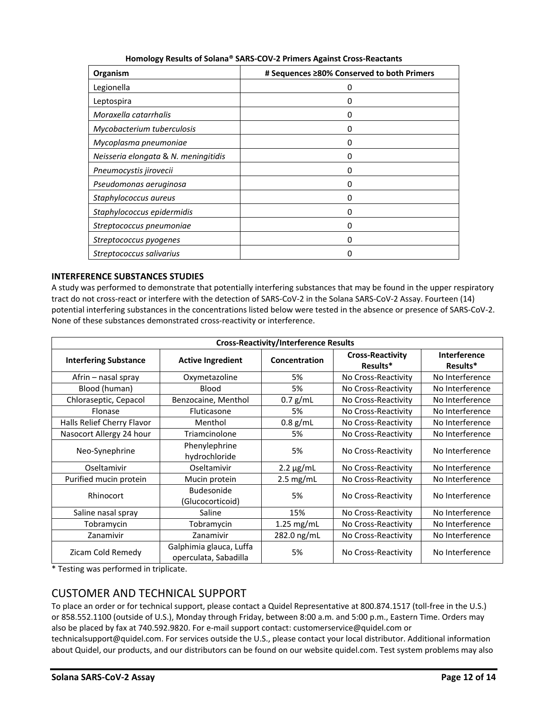| Organism                             | # Sequences ≥80% Conserved to both Primers |
|--------------------------------------|--------------------------------------------|
| Legionella                           | 0                                          |
| Leptospira                           | O                                          |
| Moraxella catarrhalis                | O                                          |
| Mycobacterium tuberculosis           | 0                                          |
| Mycoplasma pneumoniae                | O                                          |
| Neisseria elongata & N. meningitidis | O                                          |
| Pneumocystis jirovecii               | 0                                          |
| Pseudomonas aeruginosa               | 0                                          |
| Staphylococcus aureus                | 0                                          |
| Staphylococcus epidermidis           | 0                                          |
| Streptococcus pneumoniae             | 0                                          |
| Streptococcus pyogenes               | O                                          |
| Streptococcus salivarius             | Ω                                          |

#### <span id="page-11-0"></span>**INTERFERENCE SUBSTANCES STUDIES**

A study was performed to demonstrate that potentially interfering substances that may be found in the upper respiratory tract do not cross-react or interfere with the detection of SARS-CoV-2 in the Solana SARS-CoV-2 Assay. Fourteen (14) potential interfering substances in the concentrations listed below were tested in the absence or presence of SARS-CoV-2. None of these substances demonstrated cross-reactivity or interference.

| <b>Cross-Reactivity/Interference Results</b> |                                                  |                |                                     |                          |  |  |
|----------------------------------------------|--------------------------------------------------|----------------|-------------------------------------|--------------------------|--|--|
| <b>Interfering Substance</b>                 | <b>Active Ingredient</b>                         | Concentration  | <b>Cross-Reactivity</b><br>Results* | Interference<br>Results* |  |  |
| Afrin – nasal spray                          | Oxymetazoline                                    | 5%             | No Cross-Reactivity                 | No Interference          |  |  |
| Blood (human)                                | <b>Blood</b>                                     | 5%             | No Cross-Reactivity                 | No Interference          |  |  |
| Chloraseptic, Cepacol                        | Benzocaine, Menthol                              | $0.7$ g/mL     | No Cross-Reactivity                 | No Interference          |  |  |
| <b>Flonase</b>                               | <b>Fluticasone</b>                               | 5%             | No Cross-Reactivity                 | No Interference          |  |  |
| Halls Relief Cherry Flavor                   | Menthol                                          | $0.8$ g/mL     | No Cross-Reactivity                 | No Interference          |  |  |
| Nasocort Allergy 24 hour                     | Triamcinolone                                    | 5%             | No Cross-Reactivity                 | No Interference          |  |  |
| Neo-Synephrine                               | Phenylephrine<br>hydrochloride                   | 5%             | No Cross-Reactivity                 | No Interference          |  |  |
| Oseltamivir                                  | Oseltamivir                                      | $2.2 \mu g/mL$ | No Cross-Reactivity                 | No Interference          |  |  |
| Purified mucin protein                       | Mucin protein                                    | $2.5$ mg/mL    | No Cross-Reactivity                 | No Interference          |  |  |
| Rhinocort                                    | Budesonide<br>(Glucocorticoid)                   | 5%             | No Cross-Reactivity                 | No Interference          |  |  |
| Saline nasal spray                           | Saline                                           | 15%            | No Cross-Reactivity                 | No Interference          |  |  |
| Tobramycin                                   | Tobramycin                                       | $1.25$ mg/mL   | No Cross-Reactivity                 | No Interference          |  |  |
| Zanamivir                                    | Zanamivir                                        | 282.0 ng/mL    | No Cross-Reactivity                 | No Interference          |  |  |
| Zicam Cold Remedy                            | Galphimia glauca, Luffa<br>operculata, Sabadilla | 5%             | No Cross-Reactivity                 | No Interference          |  |  |

\* Testing was performed in triplicate.

## <span id="page-11-1"></span>CUSTOMER AND TECHNICAL SUPPORT

To place an order or for technical support, please contact a Quidel Representative at 800.874.1517 (toll-free in the U.S.) or 858.552.1100 (outside of U.S.), Monday through Friday, between 8:00 a.m. and 5:00 p.m., Eastern Time. Orders may also be placed by fax at 740.592.9820. For e-mail support contact: customerservice@quidel.com or

technicalsupport@quidel.com. For services outside the U.S., please contact your local distributor. Additional information about Quidel, our products, and our distributors can be found on our website quidel.com. Test system problems may also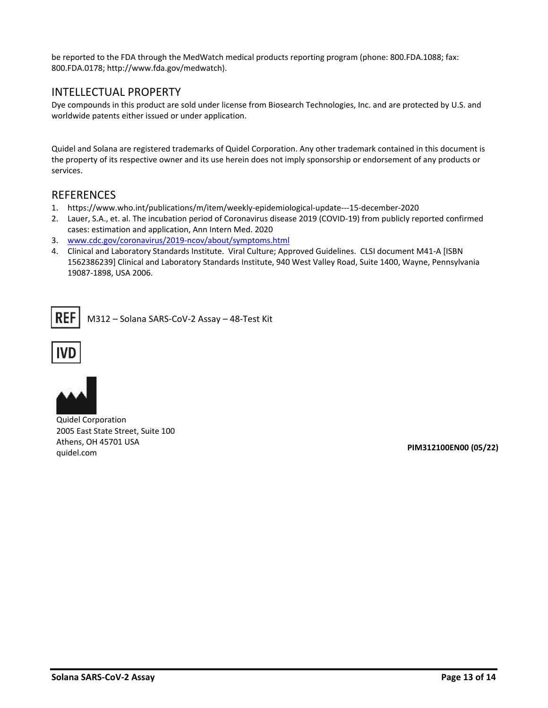be reported to the FDA through the MedWatch medical products reporting program (phone: 800.FDA.1088; fax: 800.FDA.0178; http://www.fda.gov/medwatch).

#### <span id="page-12-0"></span>INTELLECTUAL PROPERTY

Dye compounds in this product are sold under license from Biosearch Technologies, Inc. and are protected by U.S. and worldwide patents either issued or under application.

Quidel and Solana are registered trademarks of Quidel Corporation. Any other trademark contained in this document is the property of its respective owner and its use herein does not imply sponsorship or endorsement of any products or services.

#### <span id="page-12-1"></span>**REFERENCES**

- 1. https://www.who.int/publications/m/item/weekly-epidemiological-update---15-december-2020
- 2. Lauer, S.A., et. al. The incubation period of Coronavirus disease 2019 (COVID-19) from publicly reported confirmed cases: estimation and application, Ann Intern Med. 2020
- 3. [www.cdc.gov/coronavirus/2019-ncov/about/symptoms.html](http://www.cdc.gov/coronavirus/2019-ncov/about/symptoms.html)
- 4. Clinical and Laboratory Standards Institute. Viral Culture; Approved Guidelines. CLSI document M41-A [ISBN 1562386239] Clinical and Laboratory Standards Institute, 940 West Valley Road, Suite 1400, Wayne, Pennsylvania 19087-1898, USA 2006.

REF M312 – Solana SARS-CoV-2 Assay – 48-Test Kit





Quidel Corporation 2005 East State Street, Suite 100 Athens, OH 45701 USA quidel.com **PIM312100EN00 (05/22)**